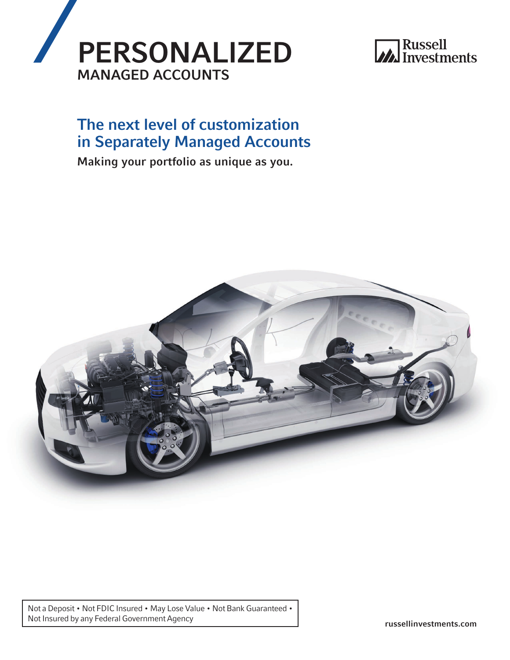



# The next level of customization in Separately Managed Accounts

Making your portfolio as unique as you.



Not a Deposit • Not FDIC Insured • May Lose Value • Not Bank Guaranteed • Not Insured by any Federal Government Agency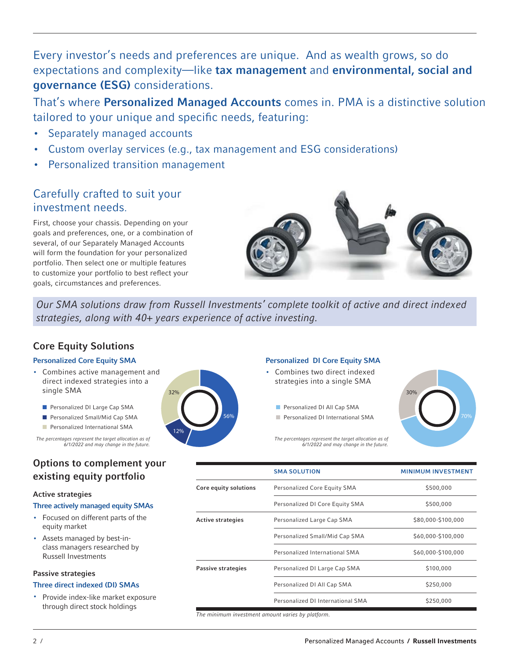Every investor's needs and preferences are unique. And as wealth grows, so do expectations and complexity—like tax management and environmental, social and governance (ESG) considerations.

That's where Personalized Managed Accounts comes in. PMA is a distinctive solution tailored to your unique and specific needs, featuring:

- Separately managed accounts
- Custom overlay services (e.g., tax management and ESG considerations)
- Personalized transition management

## Carefully crafted to suit your investment needs.

First, choose your chassis. Depending on your goals and preferences, one, or a combination of several, of our Separately Managed Accounts will form the foundation for your personalized portfolio. Then select one or multiple features to customize your portfolio to best reflect your goals, circumstances and preferences.



*Our SMA solutions draw from Russell Investments' complete toolkit of active and direct indexed strategies, along with 40+ years experience of active investing.* 

### Core Equity Solutions

#### Personalized Core Equity SMA

- Combines active management and direct indexed strategies into a single SMA
	- Personalized DI Large Cap SMA
	- Personalized Small/Mid Cap SMA
	- **n** Personalized International SMA

*The percentages represent the target allocation as of 6/1/2022 and may change in the future.*

### Options to complement your existing equity portfolio

#### Active strategies

#### Three actively managed equity SMAs

- Focused on different parts of the equity market
- Assets managed by best-inclass managers researched by Russell Investments

#### Passive strategies

#### Three direct indexed (DI) SMAs

• Provide index-like market exposure through direct stock holdings



#### Personalized DI Core Equity SMA

- Combines two direct indexed strategies into a single SMA
	- **n** Personalized DI All Cap SMA
	- **Personalized DI International SMA**

*The percentages represent the target allocation as of 6/1/2022 and may change in the future.*



| <b>SMA SOLUTION</b>               | <b>MINIMUM INVESTMENT</b> |
|-----------------------------------|---------------------------|
| Personalized Core Equity SMA      | \$500,000                 |
| Personalized DI Core Equity SMA   | \$500,000                 |
| Personalized Large Cap SMA        | \$80,000-\$100,000        |
| Personalized Small/Mid Cap SMA    | \$60,000-\$100,000        |
| Personalized International SMA    | \$60,000-\$100,000        |
| Personalized DI Large Cap SMA     | \$100,000                 |
| Personalized DI All Cap SMA       | \$250,000                 |
| Personalized DJ International SMA | \$250,000                 |
|                                   |                           |

*The minimum investment amount varies by platform.*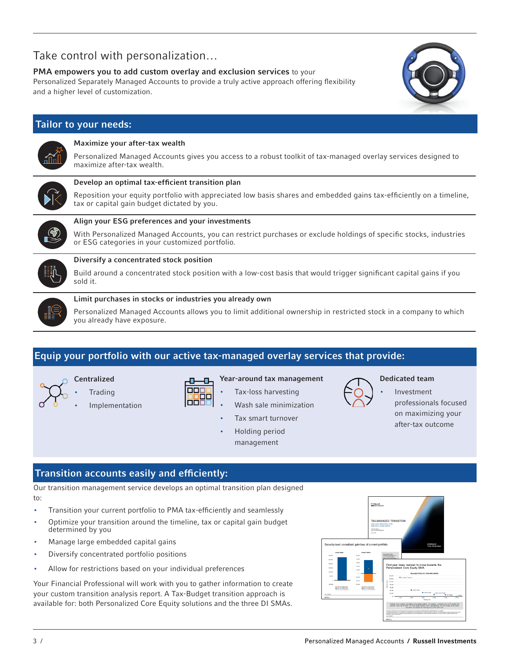### Take control with personalization…

PMA empowers you to add custom overlay and exclusion services to your Personalized Separately Managed Accounts to provide a truly active approach offering flexibility and a higher level of customization.



### Tailor to your needs:



#### Maximize your after-tax wealth

Personalized Managed Accounts gives you access to a robust toolkit of tax-managed overlay services designed to maximize after-tax wealth.



#### Develop an optimal tax-efficient transition plan

Reposition your equity portfolio with appreciated low basis shares and embedded gains tax-efficiently on a timeline, tax or capital gain budget dictated by you.



#### Align your ESG preferences and your investments

With Personalized Managed Accounts, you can restrict purchases or exclude holdings of specific stocks, industries or ESG categories in your customized portfolio.



#### Diversify a concentrated stock position

Build around a concentrated stock position with a low-cost basis that would trigger significant capital gains if you sold it.



#### Limit purchases in stocks or industries you already own

Personalized Managed Accounts allows you to limit additional ownership in restricted stock in a company to which you already have exposure.

### Equip your portfolio with our active tax-managed overlay services that provide:

Centralized **Trading** 

- **Implementation**
- Ð ⊕ 000E OО nnn

#### Year-around tax management

- Tax-loss harvesting Wash sale minimization
- 
- Tax smart turnover
- Holding period
- management



#### Dedicated team

**Investment** professionals focused on maximizing your after-tax outcome

### Transition accounts easily and efficiently:

Our transition management service develops an optimal transition plan designed to:

- Transition your current portfolio to PMA tax-efficiently and seamlessly
- Optimize your transition around the timeline, tax or capital gain budget determined by you
- Manage large embedded capital gains
- Diversify concentrated portfolio positions
- Allow for restrictions based on your individual preferences

Your Financial Professional will work with you to gather information to create your custom transition analysis report. A Tax-Budget transition approach is available for: both Personalized Core Equity solutions and the three DI SMAs.